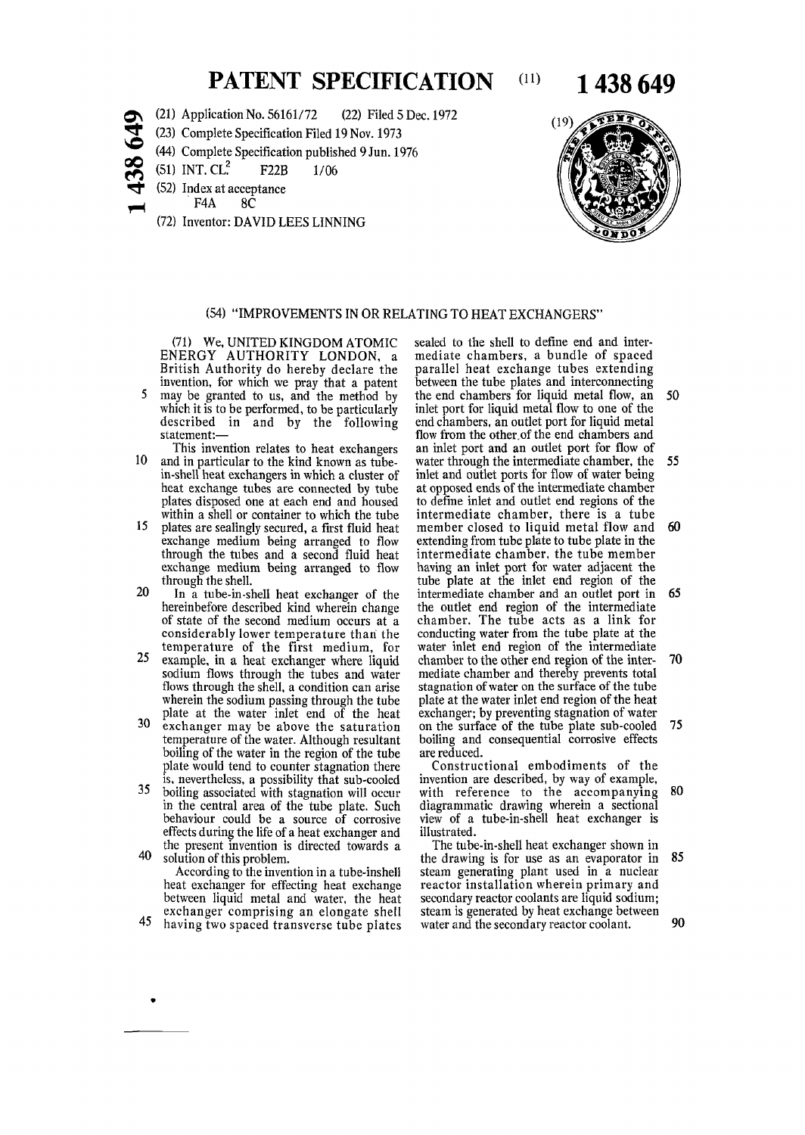## **PATENT SPECIFICATION** (11) **1 438 649**

- (21) Application No. 56161/72 (22) Filed 5 Dec. 1972
- **SO**  (23) Complete Specification Filed 19 Nov. 1973
	- (44) Complete Specification published 9 Jun. 1976
	- (51) INT.  $CL^2$  F22B 1/06
	- (52) Index at acceptance
		- F4A 8C

<u>ထွ</u> نى

(72) Inventor: DAVID LEES LINNING



## (54) "IMPROVEMENTS IN OR RELATING TO HEAT EXCHANGERS"

(71) We, UNITED KINGDOM ATOMIC ENERGY AUTHORITY LONDON, a British Authority do hereby declare the invention, for which we pray that a patent

- 5 may be granted to us, and the method by which it is to be performed, to be particularly described in and by the following statement:—
- This invention relates to heat exchangers 10 and in particular to the kind known as tubein-shell heat exchangers in which a cluster of heat exchange tubes are connected by tube plates disposed one at each end and housed within a shell or container to which the tube
- 15 plates are sealingly secured, a first fluid heat exchange medium being arranged to flow through the tubes and a second fluid heat exchange medium being arranged to flow through the shell.
- 20 In a tube-in-shell heat exchanger of the hereinbefore described little wherein changer of the of state of the second medium occurs at a or state of the second inequality occurs at a temperature of the first medium, for
- temperature of the first medium, for<br>25 example, in a heat exchanger where liquid example, in a heat exchanger where liquid sodium flows through the tubes and water flows through the shell, a condition can arise wherein the sodium passing through the tube
- plate at the water inlet end of the heat<br>30 exchanger may be above the saturation exchanger may be above the saturation temperature of the water. Although resultant boiling of the water in the region of the tube plate would tend to counter stagnation there is, nevertheless, a possibility that sub-cooled<br>35 boiling associated with stagnation will occur
- boiling associated with stagnation will occur in the central area of the tube plate. Such behaviour could be a source of corrosive effects during the life of a heat exchanger and the present invention is directed towards a<br>40 solution of this problem.
	- According to the invention in a tube-inshell heat exchanger for effecting heat exchange between liquid metal and water, the heat exchanger comprising an elongate shell
- 45 having two spaced transverse tube plates

sealed to the shell to define end and intermediate chambers, a bundle of spaced parallel heat exchange tubes extending between the tube plates and interconnecting the end chambers for liquid metal flow, an 50 inlet port for liquid metal flow to one of the end chambers, an outlet port for liquid metal flow from the other.of the end chambers and an inlet port and an outlet port for flow of water through the intermediate chamber, the 55 inlet and outlet ports for flow of water being at opposed ends of the intermediate chamber to define inlet and outlet end regions of the intermediate chamber, there is a tube member closed to liquid metal flow and 60 extending from tube plate to tube plate in the intermediate chamber, the tube member having an inlet port for water adjacent the tube plate at the inlet end region of the intermediate chamber and an outlet port in 65 metimetriate chamber and an outlet port in chamber. The tube acts as a link for challuct. The three acts as a link for conducting water from the three plate at the water three end region of the intermediate enamber to the other end region of the intermediate chamber and thereby prevents total stagnation of water on the surface of the tube plate at the water inlet end region of the heat exchanger; by preventing stagnation of water<br>on the surface of the tube plate sub-cooled 75 on the surface of the tube plate sub-cooled boiling and consequential corrosive effects are reduced.

Constructional embodiments of the invention are described, by way of example, with reference to the accompanying 80 diagrammatic drawing wherein a sectional view of a tube-in-shell heat exchanger is illustrated.

The tube-in-shell heat exchanger shown in the drawing is for use as an evaporator in 85 steam generating plant used in a nuclear reactor installation wherein primary and secondary reactor coolants are liquid sodium: steam is generated by heat exchange between water and the secondary reactor coolant. 90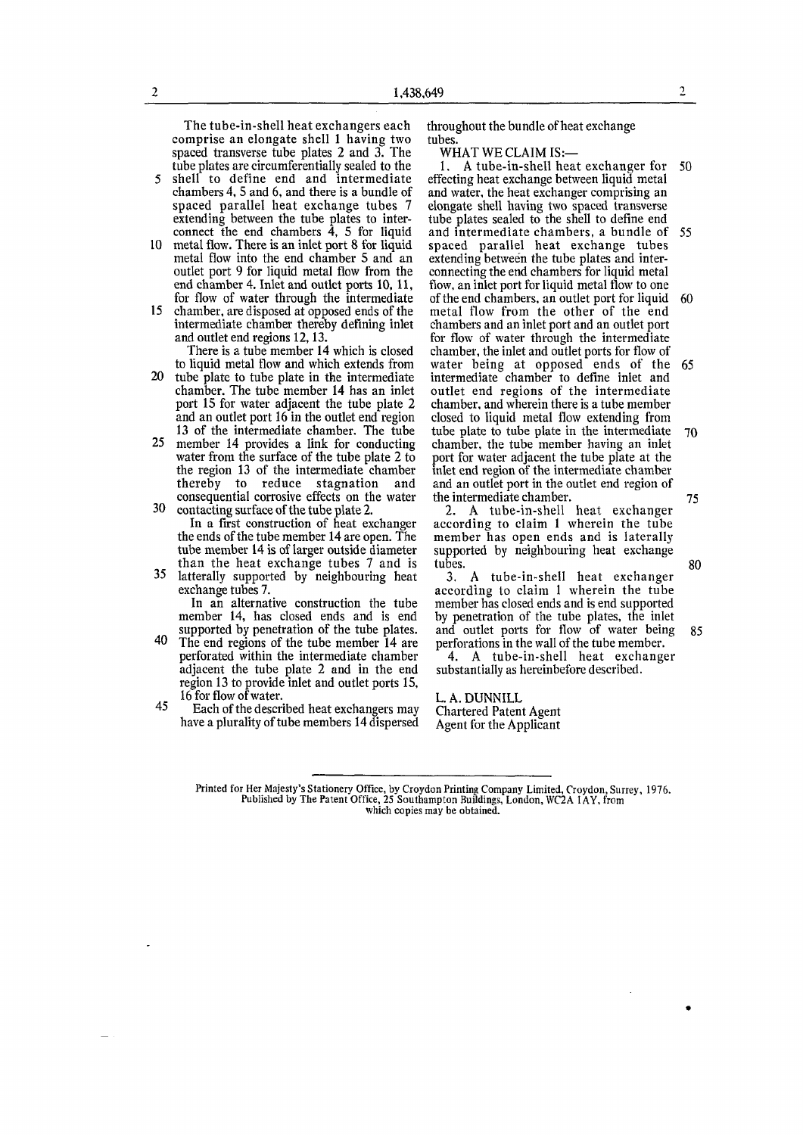The tube-in-shell heat exchangers each comprise an elongate shell 1 having two spaced transverse tube plates 2 and 3. The tube plates are circumferentially sealed to the

5 shell to define end and intermediate chambers 4, 5 and 6, and there is a bundle of spaced parallel heat exchange tubes 7 extending between the tube plates to interconnect the end chambers  $\hat{4}$ , 5 for liquid

- 10 metal flow. There is an inlet port 8 for liquid metal flow into the end chamber 5 and an outlet port 9 for liquid metal flow from the end chamber 4. Inlet and outlet ports 10, 11, for flow of water through the intermediate
- 15 chamber, are disposed at opposed ends of the intermediate chamber thereby defining inlet and outlet end regions 12,13.

There is a tube member 14 which is closed to liquid metal flow and which extends from

- 20 tube plate to tube plate in the intermediate chamber. The tube member 14 has an inlet port 15 for water adjacent the tube plate 2 and an outlet port 16 in the outlet end region 13 of the intermediate chamber. The tube
- 25 member 14 provides a link for conducting water from the surface of the tube plate 2 to the region 13 of the intermediate chamber thereby to reduce stagnation and consequential corrosive effects on the water 30 contacting surface of the tube plate 2.

In a first construction of heat exchanger the ends of the tube member 14 are open. The tube member 14 is of larger outside diameter than the heat exchange tubes 7 and is

35 latterally supported by neighbouring heat exchange tubes 7.

In an alternative construction the tube member 14, has closed ends and is end supported by penetration of the tube plates.

- 40 The end regions of the tube member 14 are perforated within the intermediate chamber adjacent the tube plate 2 and in the end region 13 to provide inlet and outlet ports 15, 16 for flow of water.
- 45 Each of the described heat exchangers may have a plurality of tube members 14 dispersed

throughout the bundle of heat exchange tubes

WHAT WE CLAIM IS:—

1. A tube-in-shell heat exchanger for 50 effecting heat exchange between liquid metal and water, the heat exchanger comprising an elongate shell having two spaced transverse tube plates sealed to the shell to define end and intermediate chambers, a bundle of 55 spaced parallel heat exchange tubes extending between the tube plates and interconnecting the end chambers for liquid metal flow, an inlet port for liquid metal flow to one of the end chambers, an outlet port for liquid 60 metal flow from the other of the end chambers and an inlet port and an outlet port for flow of water through the intermediate chamber, the inlet and outlet ports for flow of water being at opposed ends of the 65 intermediate chamber to define inlet and outlet end regions of the intermediate chamber, and wherein there is a tube member closed to liquid metal flow extending from tube plate to tube plate in the intermediate 70 chamber, the tube member having an inlet port for water adjacent the tube plate at the inlet end region of the intermediate chamber mici chu region or the micrimetriale chamber and an outlet port in the outlet end region of

2. A tube-in-shell heat exchanger according to claim 1 wherein the tube member has open ends and is laterally supported by neighbouring heat exchange tubes. 80

3. A tube-in-shell heat exchanger according to claim 1 wherein the tube member has closed ends and is end supported by penetration of the tube plates, the inlet and outlet ports for flow of water being 85 perforations in the wall of the tube member.

4. A tube-in-shell heat exchanger substantially as hereinbefore described.

L. A. DUNN ILL Chartered Patent Agent Agent for the Applicant

Printed for Her Majesty's Stationery Office, by Croydon Printing Company Limited, Croydon, Surrey, 1976.<br>Published by The Patent Office, 25 Southampton Buildings, London, WC2A 1AY, from which copies may be obtained.